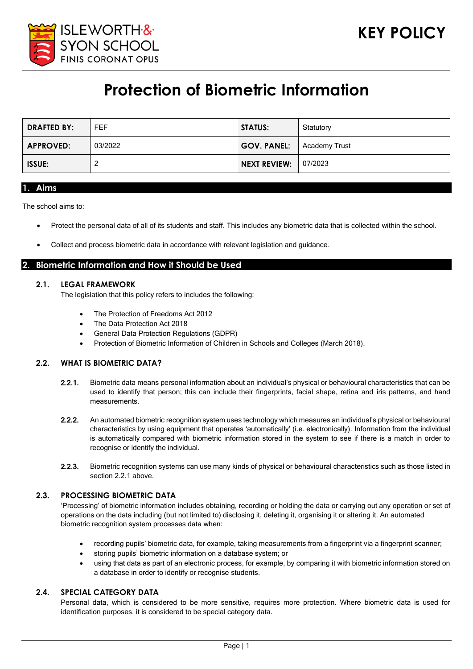

# **Protection of Biometric Information**

| <b>DRAFTED BY:</b> | FEF.    | <b>STATUS:</b>      | Statutory            |
|--------------------|---------|---------------------|----------------------|
| <b>APPROVED:</b>   | 03/2022 | <b>GOV. PANEL:</b>  | <b>Academy Trust</b> |
| <b>ISSUE:</b>      |         | <b>NEXT REVIEW:</b> | 07/2023              |

#### **1. Aims**

The school aims to:

- Protect the personal data of all of its students and staff. This includes any biometric data that is collected within the school.
- Collect and process biometric data in accordance with relevant legislation and guidance.

## **2. Biometric Information and How it Should be Used**

## **2.1. LEGAL FRAMEWORK**

The legislation that this policy refers to includes the following:

- The Protection of Freedoms Act 2012
- The Data Protection Act 2018
- General Data Protection Regulations (GDPR)
- Protection of Biometric Information of Children in Schools and Colleges (March 2018).

#### **2.2. WHAT IS BIOMETRIC DATA?**

- 2.2.1. Biometric data means personal information about an individual's physical or behavioural characteristics that can be used to identify that person; this can include their fingerprints, facial shape, retina and iris patterns, and hand measurements.
- 2.2.2. An automated biometric recognition system uses technology which measures an individual's physical or behavioural characteristics by using equipment that operates 'automatically' (i.e. electronically). Information from the individual is automatically compared with biometric information stored in the system to see if there is a match in order to recognise or identify the individual.
- 2.2.3. Biometric recognition systems can use many kinds of physical or behavioural characteristics such as those listed in section 2.2.1 above

## **2.3. PROCESSING BIOMETRIC DATA**

'Processing' of biometric information includes obtaining, recording or holding the data or carrying out any operation or set of operations on the data including (but not limited to) disclosing it, deleting it, organising it or altering it. An automated biometric recognition system processes data when:

- recording pupils' biometric data, for example, taking measurements from a fingerprint via a fingerprint scanner;
- storing pupils' biometric information on a database system; or
- using that data as part of an electronic process, for example, by comparing it with biometric information stored on a database in order to identify or recognise students.

#### **2.4. SPECIAL CATEGORY DATA**

Personal data, which is considered to be more sensitive, requires more protection. Where biometric data is used for identification purposes, it is considered to be special category data.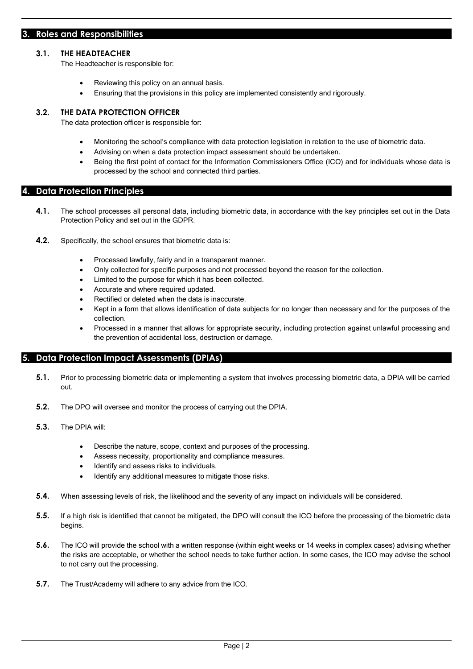### **3. Roles and Responsibilities**

#### **3.1. THE HEADTEACHER**

The Headteacher is responsible for:

- Reviewing this policy on an annual basis.
- Ensuring that the provisions in this policy are implemented consistently and rigorously.

#### **3.2. THE DATA PROTECTION OFFICER**

The data protection officer is responsible for:

- Monitoring the school's compliance with data protection legislation in relation to the use of biometric data.
- Advising on when a data protection impact assessment should be undertaken.
- Being the first point of contact for the Information Commissioners Office (ICO) and for individuals whose data is processed by the school and connected third parties.

## **4. Data Protection Principles**

- **4.1.** The school processes all personal data, including biometric data, in accordance with the key principles set out in the Data Protection Policy and set out in the GDPR.
- **4.2.** Specifically, the school ensures that biometric data is:
	- Processed lawfully, fairly and in a transparent manner.
	- Only collected for specific purposes and not processed beyond the reason for the collection.
	- Limited to the purpose for which it has been collected.
	- Accurate and where required updated.
	- Rectified or deleted when the data is inaccurate.
	- Kept in a form that allows identification of data subjects for no longer than necessary and for the purposes of the collection.
	- Processed in a manner that allows for appropriate security, including protection against unlawful processing and the prevention of accidental loss, destruction or damage.

# **5. Data Protection Impact Assessments (DPIAs)**

- **5.1.** Prior to processing biometric data or implementing a system that involves processing biometric data, a DPIA will be carried out.
- **5.2.** The DPO will oversee and monitor the process of carrying out the DPIA.
- **5.3.** The DPIA will:
	- Describe the nature, scope, context and purposes of the processing.
	- Assess necessity, proportionality and compliance measures.
	- Identify and assess risks to individuals.
	- Identify any additional measures to mitigate those risks.
- **5.4.** When assessing levels of risk, the likelihood and the severity of any impact on individuals will be considered.
- **5.5.** If a high risk is identified that cannot be mitigated, the DPO will consult the ICO before the processing of the biometric data begins.
- **5.6.** The ICO will provide the school with a written response (within eight weeks or 14 weeks in complex cases) advising whether the risks are acceptable, or whether the school needs to take further action. In some cases, the ICO may advise the school to not carry out the processing.
- **5.7.** The Trust/Academy will adhere to any advice from the ICO.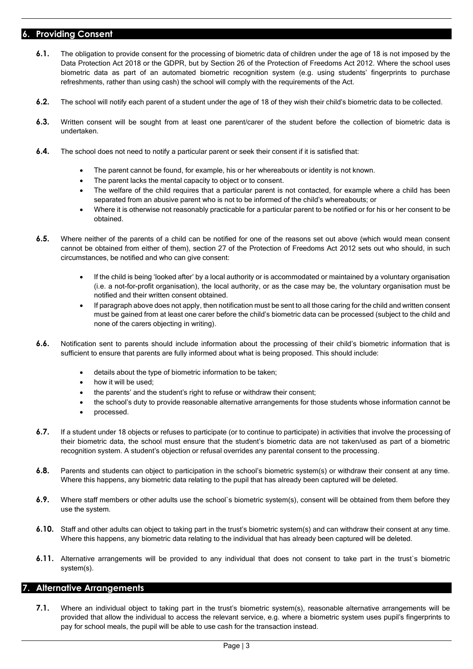# **6. Providing Consent**

- **6.1.** The obligation to provide consent for the processing of biometric data of children under the age of 18 is not imposed by the Data Protection Act 2018 or the GDPR, but by Section 26 of the Protection of Freedoms Act 2012. Where the school uses biometric data as part of an automated biometric recognition system (e.g. using students' fingerprints to purchase refreshments, rather than using cash) the school will comply with the requirements of the Act.
- **6.2.** The school will notify each parent of a student under the age of 18 of they wish their child's biometric data to be collected.
- **6.3.** Written consent will be sought from at least one parent/carer of the student before the collection of biometric data is undertaken.
- **6.4.** The school does not need to notify a particular parent or seek their consent if it is satisfied that:
	- The parent cannot be found, for example, his or her whereabouts or identity is not known.
	- The parent lacks the mental capacity to object or to consent.
	- The welfare of the child requires that a particular parent is not contacted, for example where a child has been separated from an abusive parent who is not to be informed of the child's whereabouts; or
	- Where it is otherwise not reasonably practicable for a particular parent to be notified or for his or her consent to be obtained.
- **6.5.** Where neither of the parents of a child can be notified for one of the reasons set out above (which would mean consent cannot be obtained from either of them), section 27 of the Protection of Freedoms Act 2012 sets out who should, in such circumstances, be notified and who can give consent:
	- If the child is being 'looked after' by a local authority or is accommodated or maintained by a voluntary organisation (i.e. a not-for-profit organisation), the local authority, or as the case may be, the voluntary organisation must be notified and their written consent obtained.
	- If paragraph above does not apply, then notification must be sent to all those caring for the child and written consent must be gained from at least one carer before the child's biometric data can be processed (subject to the child and none of the carers objecting in writing).
- **6.6.** Notification sent to parents should include information about the processing of their child's biometric information that is sufficient to ensure that parents are fully informed about what is being proposed. This should include:
	- details about the type of biometric information to be taken;
	- how it will be used:
	- the parents' and the student's right to refuse or withdraw their consent;
	- the school's duty to provide reasonable alternative arrangements for those students whose information cannot be
	- processed.
- **6.7.** If a student under 18 objects or refuses to participate (or to continue to participate) in activities that involve the processing of their biometric data, the school must ensure that the student's biometric data are not taken/used as part of a biometric recognition system. A student's objection or refusal overrides any parental consent to the processing.
- **6.8.** Parents and students can object to participation in the school's biometric system(s) or withdraw their consent at any time. Where this happens, any biometric data relating to the pupil that has already been captured will be deleted.
- **6.9.** Where staff members or other adults use the school`s biometric system(s), consent will be obtained from them before they use the system.
- **6.10.** Staff and other adults can object to taking part in the trust's biometric system(s) and can withdraw their consent at any time. Where this happens, any biometric data relating to the individual that has already been captured will be deleted.
- **6.11.** Alternative arrangements will be provided to any individual that does not consent to take part in the trust's biometric system(s).

# **7. Alternative Arrangements**

**7.1.** Where an individual object to taking part in the trust's biometric system(s), reasonable alternative arrangements will be provided that allow the individual to access the relevant service, e.g. where a biometric system uses pupil's fingerprints to pay for school meals, the pupil will be able to use cash for the transaction instead.